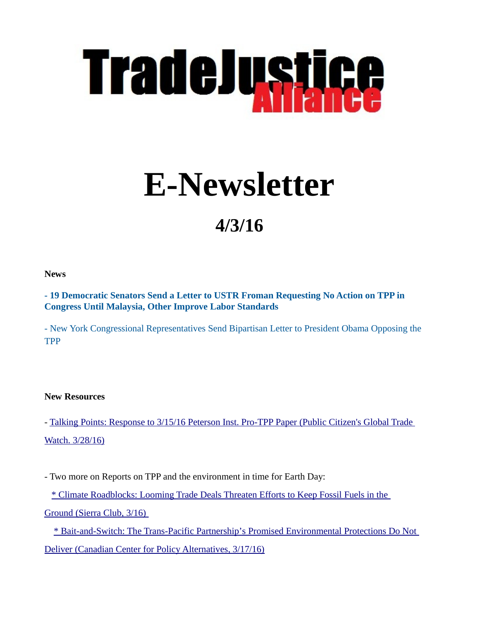

# **E-Newsletter**

## **4/3/16**

**News**

**[- 19 Democratic Senators Send a Letter to USTR Froman Requesting No Action on TPP in](http://src.bna.com/dwG)  [Congress Until Malaysia, Other Improve Labor Standards](http://src.bna.com/dwG)**

[- New York Congressional Representatives Send Bipartisan Letter to President Obama Opposing the](https://louise.house.gov/media-center/press-releases/new-york-congressional-representatives-send-bipartisan-letter-president)  **[TPP](https://louise.house.gov/media-center/press-releases/new-york-congressional-representatives-send-bipartisan-letter-president)** 

#### **New Resources**

- [Talking Points: Response to 3/15/16 Peterson Inst. Pro-TPP Paper \(Public Citizen's Global Trade](http://www.citizen.org/documents/Talking-Points-Peterson-TPP-Response.pdf)  [Watch. 3/28/16\)](http://www.citizen.org/documents/Talking-Points-Peterson-TPP-Response.pdf)

- Two more on Reports on TPP and the environment in time for Earth Day:

[\\* Climate Roadblocks: Looming Trade Deals Threaten Efforts to Keep Fossil Fuels in the](https://www.sierraclub.org/trade/bit.ly/climate-roadblocks) 

 [Ground \(Sierra Club, 3/16\)](https://www.sierraclub.org/trade/bit.ly/climate-roadblocks) 

[\\* Bait-and-Switch: The Trans-Pacific Partnership's Promised Environmental Protections Do Not](https://www.policyalternatives.ca/publications/reports/bait-and-switch#sthash.8OqaEKB9.dpuf)  [Deliver \(Canadian Center for Policy Alternatives, 3/17/16\)](https://www.policyalternatives.ca/publications/reports/bait-and-switch#sthash.8OqaEKB9.dpuf)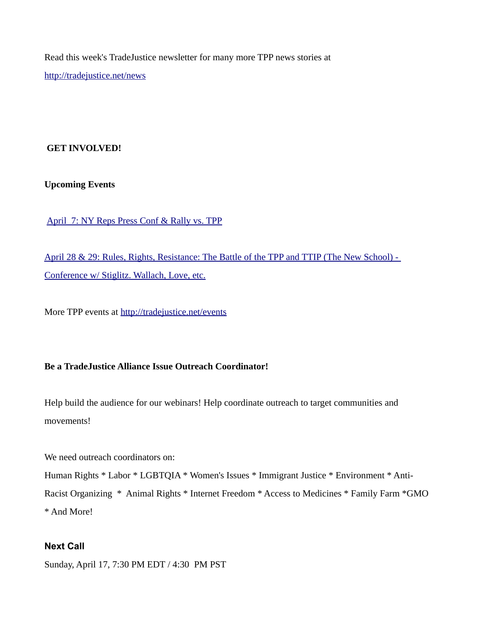Read this week's TradeJustice newsletter for many more TPP news stories at <http://tradejustice.net/news>

#### **GET INVOLVED!**

**Upcoming Events**

 [April 7: NY Reps Press Conf & Rally vs. TPP](https://www.facebook.com/events/1690275074586558/)

 [April 28 & 29: Rules, Rights, Resistance: The Battle of the TPP and TTIP \(The New School\) -](http://milanoschool.org/wp-content/uploads/2016/03/RulesRightsResistances-program-mar-19.docx-3-5.pdf)  [Conference w/ Stiglitz. Wallach, Love, etc.](http://milanoschool.org/wp-content/uploads/2016/03/RulesRightsResistances-program-mar-19.docx-3-5.pdf)

More TPP events at<http://tradejustice.net/events>

### **Be a TradeJustice Alliance Issue Outreach Coordinator!**

Help build the audience for our webinars! Help coordinate outreach to target communities and movements!

We need outreach coordinators on:

Human Rights \* Labor \* LGBTQIA \* Women's Issues \* Immigrant Justice \* Environment \* Anti-Racist Organizing \* Animal Rights \* Internet Freedom \* Access to Medicines \* Family Farm \*GMO \* And More!

#### **Next Call**

Sunday, April 17, 7:30 PM EDT / 4:30 PM PST